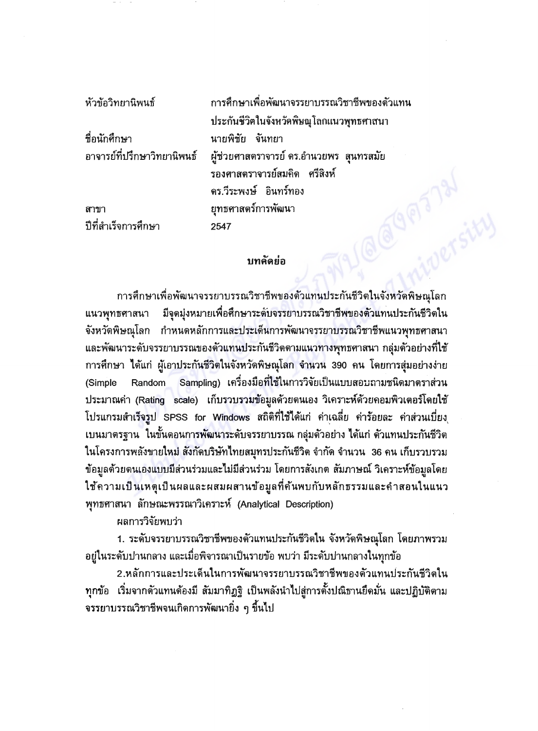| หัวข้อวิทยานิพนธ์           | การศึกษาเพื่อพัฒนาจรรยาบรรณวิชาชีพของตัวแทน |
|-----------------------------|---------------------------------------------|
|                             | ประกันชีวิตในจังหวัดพิษณุโลกแนวพุทธศาสนา    |
| ชื่อนักศึกษา                | นายพิชัย จันทยา                             |
| อาจารย์ที่ปรึกษาวิทยานิพนธ์ | ผู้ช่วยศาสตราจารย์ ดร.อำนวยพร  สุนทรสมัย    |
|                             | รองศาสตราจารย์สมคิด ศรีสิงห์                |
|                             | ดร.วีระพงษ์ อินทร์ทอง                       |
| ิสาขา                       | ยุทธศาสตร์การพัฒนา                          |
| ปีที่สำเร็จการศึกษา         | 2547                                        |
|                             |                                             |
|                             | บทคิดย่อ                                    |

## บทคัดย่อ

การศึกษาเพื่อพัฒนาจรรยาบรรณวิชาชีพของตัวแทนประกันชีวิตในจังหวัดพิษณุโลก มีจุดมุ่งหมายเพื่อศึกษาระดับจรรยาบรรณวิชาชีพของตัวแทนประกันชีวิตใน แนวพุทธศาสนา จังหวัดพิษณุโลก กำหนดหลักการและประเด็นการพัฒนาจรรยาบรรณวิชาชีพแนวพุทธศาสนา และพัฒนาระดับจรรยาบรรณของตัวแทนประกันชีวิตตามแนวทางพุทธศาสนา กลุ่มตัวอย่างที่ใช้ การศึกษา ได้แก่ ผู้เอาประกันชีวิตในจังหวัดพิษณุโลก จำนวน 390 คน โดยการสุ่มอย่างง่าย Sampling) เครื่องมือที่ใช้ในการวิจัยเป็นแบบสอบถามชนิดมาตราส่วน Random (Simple ประมาณค่า (Rating scale) เก็บรวบรวมข้อมูลด้วยตนเอง วิเคราะห์ด้วยคอมพิวเตอร์โดยใช้ โปรแกรมสำเร็จรูป SPSS for Windows สถิติที่ใช้ได้แก่ ค่าเฉลี่ย ค่าร้อยละ ค่าส่วนเบี่ยง ้เบนมาตรฐาน ในขั้นตอนการพัฒนาระดับจรรยาบรรณ กลุ่มตัวอย่าง ได้แก่ ตัวแทนประกันชีวิต ในโครงการพลังขายใหม่ สังกัดบริษัทไทยสมุทรประกันชีวิต จำกัด จำนวน 36 คน เก็บรวบรวม ข้อมูลด้วยดนเองแบบมีส่วนร่วมและไม่มีส่วนร่วม โดยการสังเกต สัมภาษณ์ วิเคราะห์ข้อมูลโดย ใช้ความเป็นเหตุเป็นผลและผสมผสานข้อมูลที่ค้นพบกับหลักธรรมและคำสอนในแนว พุทธศาสนา ลักษณะพรรณาวิเคราะห์ (Analytical Description)

ผลการวิจัยพบว่า

1. ระดับจรรยาบรรณวิชาชีพของตัวแทนประกันชีวิตใน จังหวัดพิษณุโลก โดยภาพรวม ้อยู่ในระดับปานกลาง และเมื่อพิจารณาเป็นรายข้อ พบว่า มีระดับปานกลางในทุกข้อ

2.หลักการและประเด็นในการพัฒนาจรรยาบรรณวิชาชีพของตัวแทนประกันชีวิตใน ทุกข้อ เริ่มจากตัวแทนต้องมี สัมมาทิฏฐิ เป็นพลังนำไปสู่การตั้งปณิธานยึดมั่น และปฏิบัติตาม ึ่จรรยาบรรณวิชาชีพจนเกิดการพัฒนายิ่ง ๆ ขึ้นไป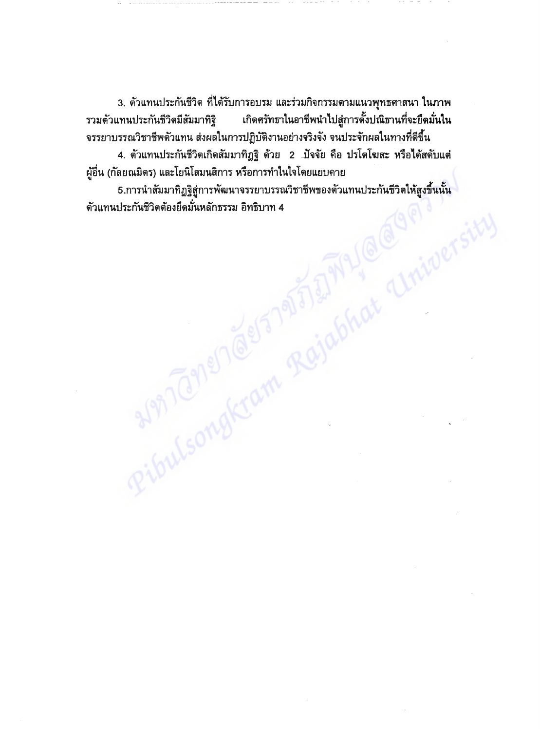3. ตัวแทนประกันชีวิต ที่ได้รับการอบรม และร่วมกิจกรรมตามแนวพุทธศาสนา ในภาพ เกิดศรัทธาในอาชีพนำไปสู่การตั้งปณิธานที่จะยึดมั่นใน รวมด้วแทนประกันชีวิตมีสัมมาทิฐิ จรรยาบรรณวิชาชีพตัวแทน ส่งผลในการปฏิบัติงานอย่างจริงจัง จนประจักผลในทางที่ดีขึ้น

4. ตัวแทนประกันชีวิตเกิดสัมมาทิฏฐิ ด้วย 2 ปัจจัย คือ ปรโตโฆสะ หรือได้สดับแค่ ผู้อื่น (กัลยณมิตร) และโยนิโสมนสิการ หรือการทำในใจโดยแยบคาย

RibulsongKram Rejablat Clnicoers 5.การนำสัมมาทิฏฐิสู่การพัฒนาจรรยาบรรณวิชาชีพของตัวแทนประกันชีวิตให้สูงขึ้นนั้น ์ตัวแทนประกันชีวิตต้องยึดมั่นหลักธรรม อิทธิบาท 4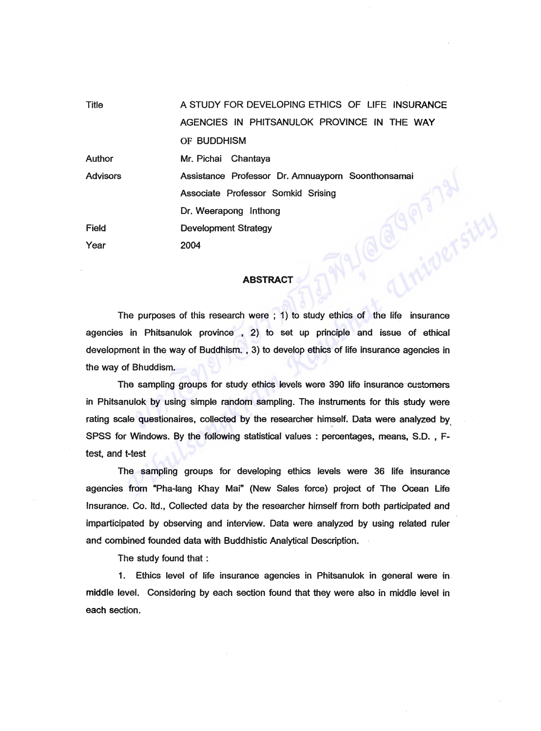| <b>Title</b>    | A STUDY FOR DEVELOPING ETHICS OF LIFE INSURANCE   |
|-----------------|---------------------------------------------------|
|                 | AGENCIES IN PHITSANULOK PROVINCE IN THE WAY       |
|                 | OF BUDDHISM                                       |
| Author          | Mr. Pichai Chantaya                               |
| <b>Advisors</b> | Assistance Professor Dr. Amnuayporn Soonthonsamai |
|                 | Associate Professor Somkid Srising                |
|                 | Dr. Weerapong Inthong                             |
| <b>Field</b>    | <b>Development Strategy</b>                       |
| Year            | 2004                                              |
|                 |                                                   |
|                 | <b>ABSTRACT</b>                                   |
|                 |                                                   |

## **ABSTRACT**

The purposes of this research were ; 1) to study ethics of the life insurance agencies in Phitsanulok province , 2) to set up principle and issue of ethical development in the way of Buddhism. , 3) to develop ethics of life insurance agencies in the way of Bhuddism.

The sampling groups for study ethics levels were 390 life insurance-customers in Phitsanulok by using simple random sampling. The instruments for this study were rating scale questionaires, collected by the researcher himself. Data were analyzed by SPSS for Windows. By the following statistical values: percentages, means, S.D., Ftest, and t-test

The sampling groups for developing ethics levels were 36 life insurance agencies from "Pha-Iang Khay Mai" (New Sales force) project of The Ocean Life Insurance. Co. Itd., Collected data by the researcher himself from both participated and imparticipated by observing and interview. Data were analyzed by using related ruler and combined founded data with Buddhistic Analytical Description.

The study found that :

1. Ethics level of life insurance agencies in Phitsanulok in general were in middle level. Considering by each section found that they were also in middle level in each section.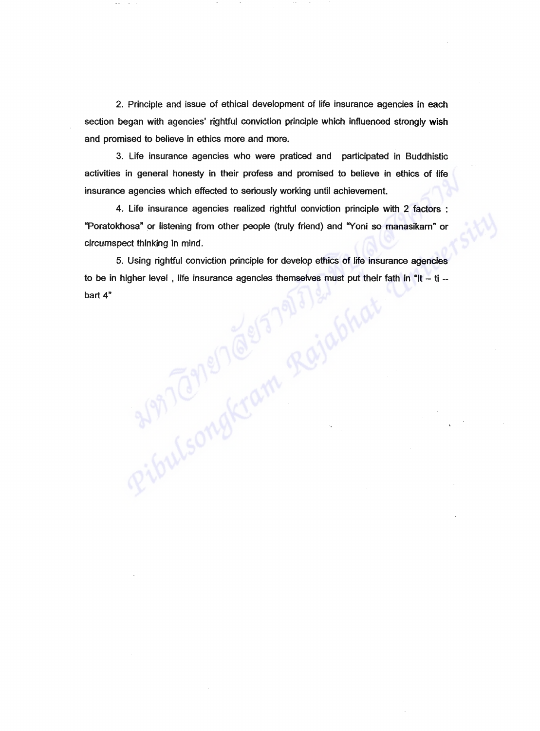2. Principle and issue of ethical development of life insurance agencies in each section began with agencies' rightful conviction principle which influenced strongly wish and promised to believe in ethics more-and more.

3. life insurance agencies who were praticed and participated in Buddhistic activities in general honesty in their profess and promised to believe in ethics of life insurance agencies which effected to seriously working until achievement.

4. Life insurance agencies realized rightful conviction principle with 2 factors : "Poratokhosa" or listening from other people (truly friend) and "Yoni so manasikam" or circumspect thinking in mind.

5. Using rightful conviction principle for develop ethics of life insurance agencies to be in higher level, life insurance agencies themselves must put their fath in "It  $-$  ti  $$ bart 4"